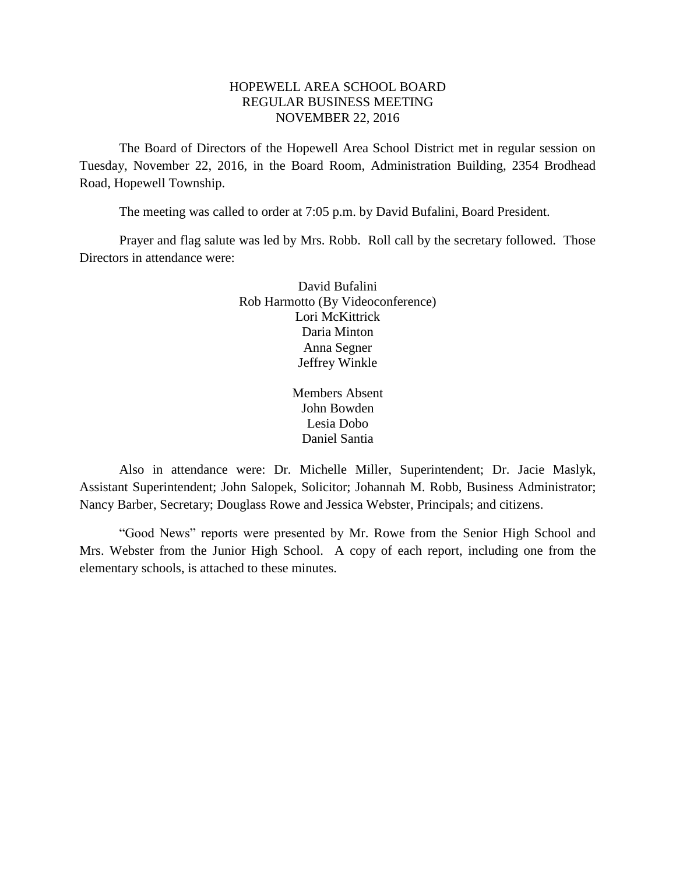## HOPEWELL AREA SCHOOL BOARD REGULAR BUSINESS MEETING NOVEMBER 22, 2016

The Board of Directors of the Hopewell Area School District met in regular session on Tuesday, November 22, 2016, in the Board Room, Administration Building, 2354 Brodhead Road, Hopewell Township.

The meeting was called to order at 7:05 p.m. by David Bufalini, Board President.

Prayer and flag salute was led by Mrs. Robb. Roll call by the secretary followed. Those Directors in attendance were:

> David Bufalini Rob Harmotto (By Videoconference) Lori McKittrick Daria Minton Anna Segner Jeffrey Winkle

> > Members Absent John Bowden Lesia Dobo Daniel Santia

Also in attendance were: Dr. Michelle Miller, Superintendent; Dr. Jacie Maslyk, Assistant Superintendent; John Salopek, Solicitor; Johannah M. Robb, Business Administrator; Nancy Barber, Secretary; Douglass Rowe and Jessica Webster, Principals; and citizens.

"Good News" reports were presented by Mr. Rowe from the Senior High School and Mrs. Webster from the Junior High School. A copy of each report, including one from the elementary schools, is attached to these minutes.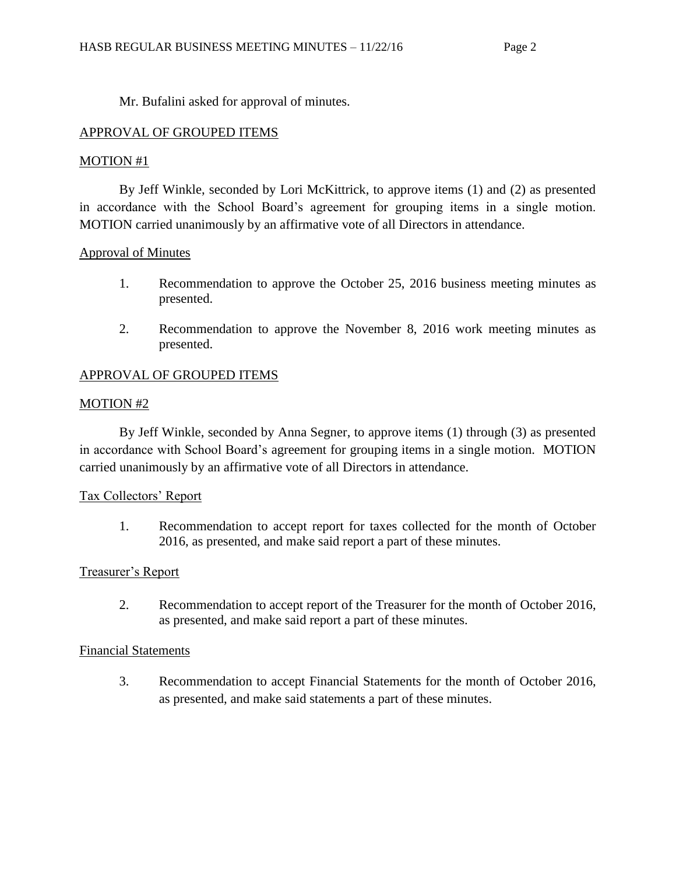Mr. Bufalini asked for approval of minutes.

# APPROVAL OF GROUPED ITEMS

## MOTION #1

By Jeff Winkle, seconded by Lori McKittrick, to approve items (1) and (2) as presented in accordance with the School Board's agreement for grouping items in a single motion. MOTION carried unanimously by an affirmative vote of all Directors in attendance.

## Approval of Minutes

- 1. Recommendation to approve the October 25, 2016 business meeting minutes as presented.
- 2. Recommendation to approve the November 8, 2016 work meeting minutes as presented.

# APPROVAL OF GROUPED ITEMS

## MOTION #2

By Jeff Winkle, seconded by Anna Segner, to approve items (1) through (3) as presented in accordance with School Board's agreement for grouping items in a single motion. MOTION carried unanimously by an affirmative vote of all Directors in attendance.

# Tax Collectors' Report

1. Recommendation to accept report for taxes collected for the month of October 2016, as presented, and make said report a part of these minutes.

# Treasurer's Report

2. Recommendation to accept report of the Treasurer for the month of October 2016, as presented, and make said report a part of these minutes.

## Financial Statements

3. Recommendation to accept Financial Statements for the month of October 2016, as presented, and make said statements a part of these minutes.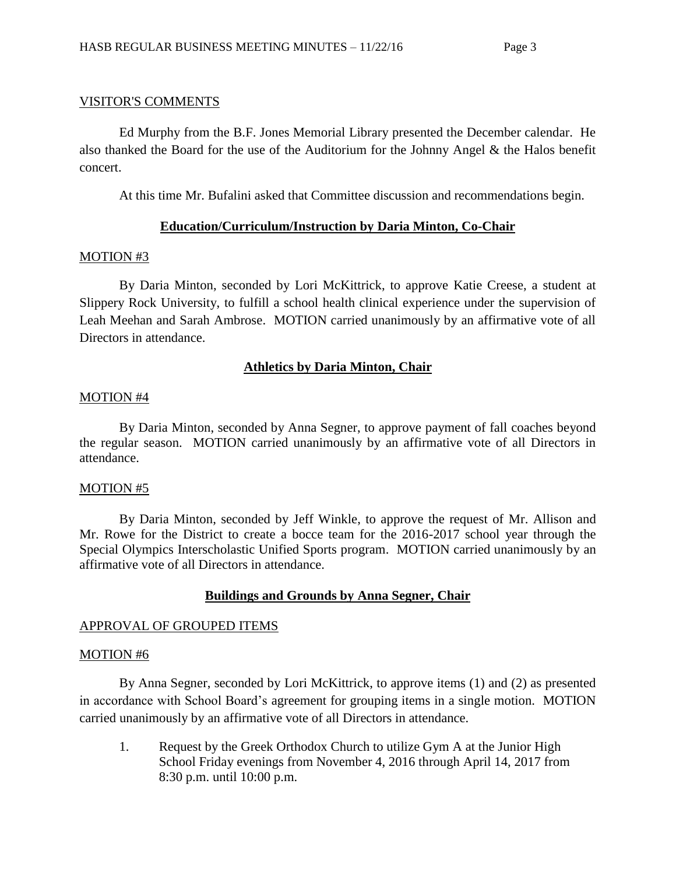## VISITOR'S COMMENTS

Ed Murphy from the B.F. Jones Memorial Library presented the December calendar. He also thanked the Board for the use of the Auditorium for the Johnny Angel & the Halos benefit concert.

At this time Mr. Bufalini asked that Committee discussion and recommendations begin.

## **Education/Curriculum/Instruction by Daria Minton, Co-Chair**

## MOTION #3

By Daria Minton, seconded by Lori McKittrick, to approve Katie Creese, a student at Slippery Rock University, to fulfill a school health clinical experience under the supervision of Leah Meehan and Sarah Ambrose. MOTION carried unanimously by an affirmative vote of all Directors in attendance.

## **Athletics by Daria Minton, Chair**

## MOTION #4

By Daria Minton, seconded by Anna Segner, to approve payment of fall coaches beyond the regular season. MOTION carried unanimously by an affirmative vote of all Directors in attendance.

## MOTION #5

By Daria Minton, seconded by Jeff Winkle, to approve the request of Mr. Allison and Mr. Rowe for the District to create a bocce team for the 2016-2017 school year through the Special Olympics Interscholastic Unified Sports program. MOTION carried unanimously by an affirmative vote of all Directors in attendance.

# **Buildings and Grounds by Anna Segner, Chair**

## APPROVAL OF GROUPED ITEMS

## MOTION #6

By Anna Segner, seconded by Lori McKittrick, to approve items (1) and (2) as presented in accordance with School Board's agreement for grouping items in a single motion. MOTION carried unanimously by an affirmative vote of all Directors in attendance.

1. Request by the Greek Orthodox Church to utilize Gym A at the Junior High School Friday evenings from November 4, 2016 through April 14, 2017 from 8:30 p.m. until 10:00 p.m.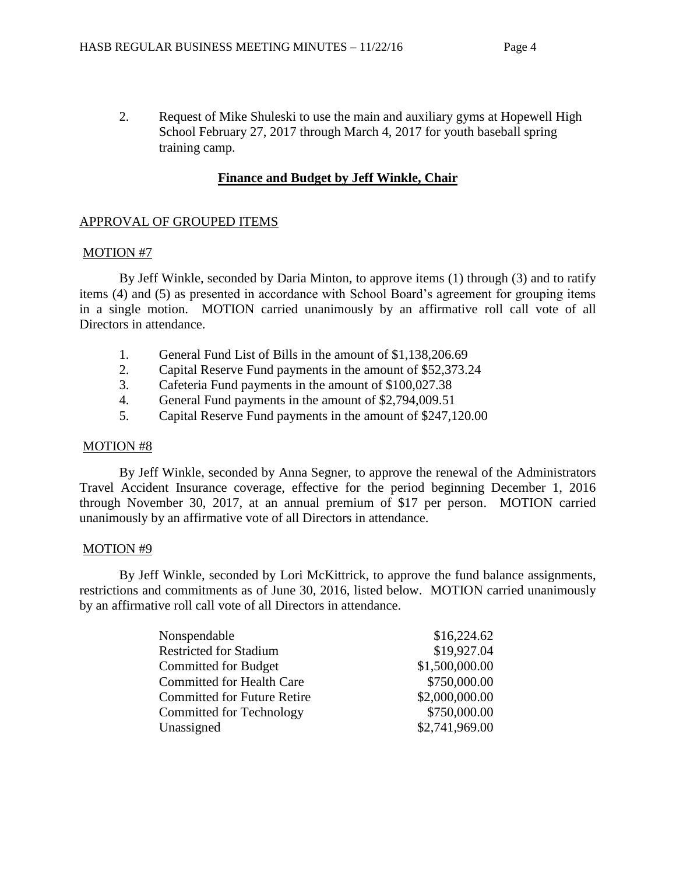2. Request of Mike Shuleski to use the main and auxiliary gyms at Hopewell High School February 27, 2017 through March 4, 2017 for youth baseball spring training camp.

# **Finance and Budget by Jeff Winkle, Chair**

## APPROVAL OF GROUPED ITEMS

## MOTION #7

By Jeff Winkle, seconded by Daria Minton, to approve items (1) through (3) and to ratify items (4) and (5) as presented in accordance with School Board's agreement for grouping items in a single motion. MOTION carried unanimously by an affirmative roll call vote of all Directors in attendance.

- 1. General Fund List of Bills in the amount of \$1,138,206.69
- 2. Capital Reserve Fund payments in the amount of \$52,373.24
- 3. Cafeteria Fund payments in the amount of \$100,027.38
- 4. General Fund payments in the amount of \$2,794,009.51
- 5. Capital Reserve Fund payments in the amount of \$247,120.00

## MOTION #8

By Jeff Winkle, seconded by Anna Segner, to approve the renewal of the Administrators Travel Accident Insurance coverage, effective for the period beginning December 1, 2016 through November 30, 2017, at an annual premium of \$17 per person. MOTION carried unanimously by an affirmative vote of all Directors in attendance.

## MOTION #9

By Jeff Winkle, seconded by Lori McKittrick, to approve the fund balance assignments, restrictions and commitments as of June 30, 2016, listed below. MOTION carried unanimously by an affirmative roll call vote of all Directors in attendance.

| Nonspendable                       | \$16,224.62    |
|------------------------------------|----------------|
| <b>Restricted for Stadium</b>      | \$19,927.04    |
| Committed for Budget               | \$1,500,000.00 |
| <b>Committed for Health Care</b>   | \$750,000.00   |
| <b>Committed for Future Retire</b> | \$2,000,000.00 |
| Committed for Technology           | \$750,000.00   |
| Unassigned                         | \$2,741,969.00 |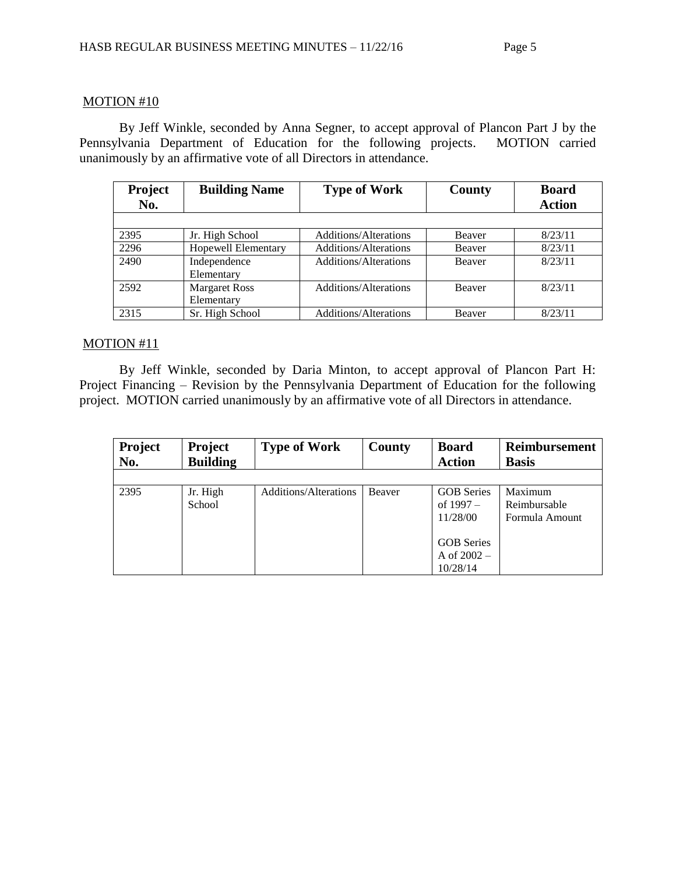### MOTION #10

By Jeff Winkle, seconded by Anna Segner, to accept approval of Plancon Part J by the Pennsylvania Department of Education for the following projects. MOTION carried unanimously by an affirmative vote of all Directors in attendance.

| <b>Project</b><br>No. | <b>Building Name</b> | <b>Type of Work</b>          | <b>County</b> | <b>Board</b><br><b>Action</b> |
|-----------------------|----------------------|------------------------------|---------------|-------------------------------|
|                       |                      |                              |               |                               |
| 2395                  | Jr. High School      | <b>Additions/Alterations</b> | Beaver        | 8/23/11                       |
| 2296                  | Hopewell Elementary  | Additions/Alterations        | <b>Beaver</b> | 8/23/11                       |
| 2490                  | Independence         | Additions/Alterations        | Beaver        | 8/23/11                       |
|                       | Elementary           |                              |               |                               |
| 2592                  | <b>Margaret Ross</b> | <b>Additions/Alterations</b> | <b>Beaver</b> | 8/23/11                       |
|                       | Elementary           |                              |               |                               |
| 2315                  | Sr. High School      | <b>Additions/Alterations</b> | Beaver        | 8/23/11                       |

### MOTION #11

By Jeff Winkle, seconded by Daria Minton, to accept approval of Plancon Part H: Project Financing – Revision by the Pennsylvania Department of Education for the following project. MOTION carried unanimously by an affirmative vote of all Directors in attendance.

| <b>Project</b><br>No. | <b>Project</b><br><b>Building</b> | <b>Type of Work</b>          | County | <b>Board</b><br><b>Action</b>      | <b>Reimbursement</b><br><b>Basis</b> |
|-----------------------|-----------------------------------|------------------------------|--------|------------------------------------|--------------------------------------|
|                       |                                   |                              |        |                                    |                                      |
| 2395                  | Jr. High<br>School                | <b>Additions/Alterations</b> | Beaver | <b>GOB</b> Series<br>of $1997 -$   | Maximum<br>Reimbursable              |
|                       |                                   |                              |        | 11/28/00                           | Formula Amount                       |
|                       |                                   |                              |        |                                    |                                      |
|                       |                                   |                              |        | <b>GOB</b> Series<br>A of $2002 -$ |                                      |
|                       |                                   |                              |        | 10/28/14                           |                                      |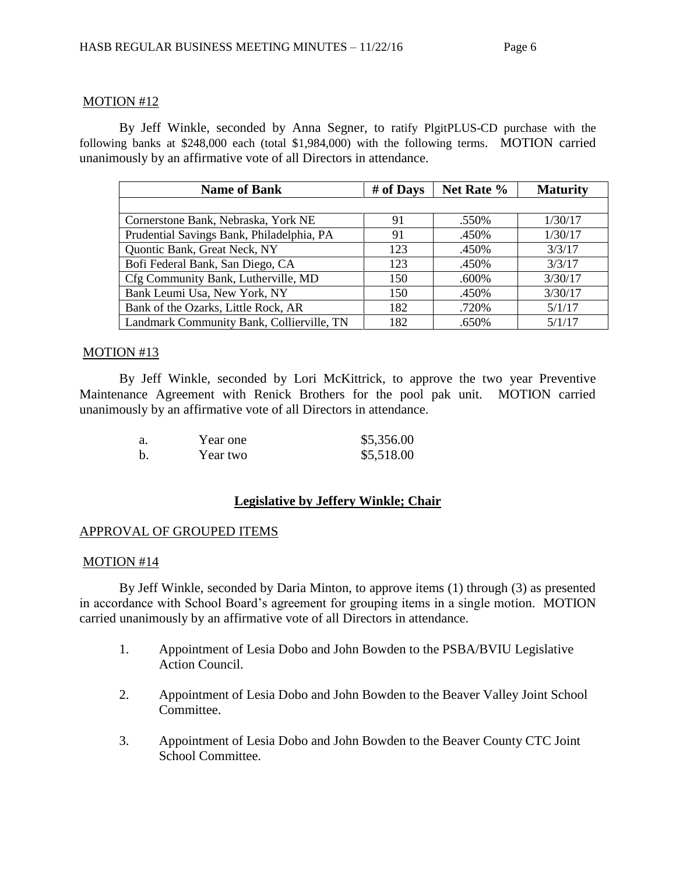## MOTION #12

By Jeff Winkle, seconded by Anna Segner, to ratify PlgitPLUS-CD purchase with the following banks at \$248,000 each (total \$1,984,000) with the following terms. MOTION carried unanimously by an affirmative vote of all Directors in attendance.

| <b>Name of Bank</b>                       | # of Days | Net Rate % | <b>Maturity</b> |
|-------------------------------------------|-----------|------------|-----------------|
|                                           |           |            |                 |
| Cornerstone Bank, Nebraska, York NE       | 91        | .550%      | 1/30/17         |
| Prudential Savings Bank, Philadelphia, PA | 91        | .450%      | 1/30/17         |
| Quontic Bank, Great Neck, NY              | 123       | .450%      | 3/3/17          |
| Bofi Federal Bank, San Diego, CA          | 123       | .450%      | 3/3/17          |
| Cfg Community Bank, Lutherville, MD       | 150       | .600%      | 3/30/17         |
| Bank Leumi Usa, New York, NY              | 150       | .450%      | 3/30/17         |
| Bank of the Ozarks, Little Rock, AR       | 182       | .720%      | 5/1/17          |
| Landmark Community Bank, Collierville, TN | 182       | .650%      | 5/1/17          |

## MOTION #13

By Jeff Winkle, seconded by Lori McKittrick, to approve the two year Preventive Maintenance Agreement with Renick Brothers for the pool pak unit. MOTION carried unanimously by an affirmative vote of all Directors in attendance.

| a.          | Year one | \$5,356.00 |
|-------------|----------|------------|
| $\mathbf b$ | Year two | \$5,518.00 |

# **Legislative by Jeffery Winkle; Chair**

## APPROVAL OF GROUPED ITEMS

## MOTION #14

By Jeff Winkle, seconded by Daria Minton, to approve items (1) through (3) as presented in accordance with School Board's agreement for grouping items in a single motion. MOTION carried unanimously by an affirmative vote of all Directors in attendance.

- 1. Appointment of Lesia Dobo and John Bowden to the PSBA/BVIU Legislative Action Council.
- 2. Appointment of Lesia Dobo and John Bowden to the Beaver Valley Joint School Committee.
- 3. Appointment of Lesia Dobo and John Bowden to the Beaver County CTC Joint School Committee.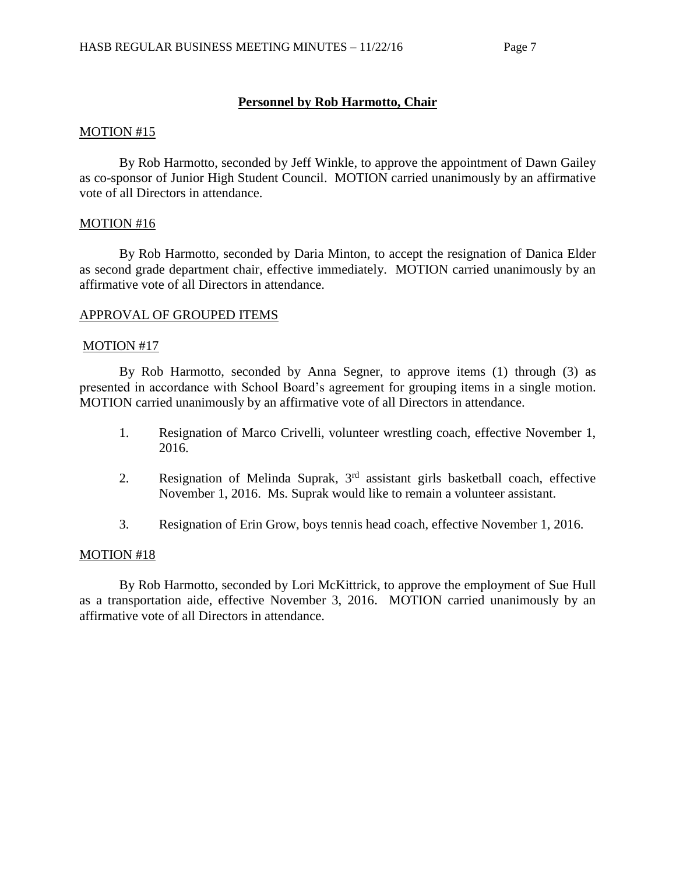## **Personnel by Rob Harmotto, Chair**

#### MOTION #15

By Rob Harmotto, seconded by Jeff Winkle, to approve the appointment of Dawn Gailey as co-sponsor of Junior High Student Council. MOTION carried unanimously by an affirmative vote of all Directors in attendance.

### MOTION #16

By Rob Harmotto, seconded by Daria Minton, to accept the resignation of Danica Elder as second grade department chair, effective immediately. MOTION carried unanimously by an affirmative vote of all Directors in attendance.

### APPROVAL OF GROUPED ITEMS

### MOTION #17

By Rob Harmotto, seconded by Anna Segner, to approve items (1) through (3) as presented in accordance with School Board's agreement for grouping items in a single motion. MOTION carried unanimously by an affirmative vote of all Directors in attendance.

- 1. Resignation of Marco Crivelli, volunteer wrestling coach, effective November 1, 2016.
- 2. Resignation of Melinda Suprak,  $3<sup>rd</sup>$  assistant girls basketball coach, effective November 1, 2016. Ms. Suprak would like to remain a volunteer assistant.
- 3. Resignation of Erin Grow, boys tennis head coach, effective November 1, 2016.

#### MOTION #18

By Rob Harmotto, seconded by Lori McKittrick, to approve the employment of Sue Hull as a transportation aide, effective November 3, 2016. MOTION carried unanimously by an affirmative vote of all Directors in attendance.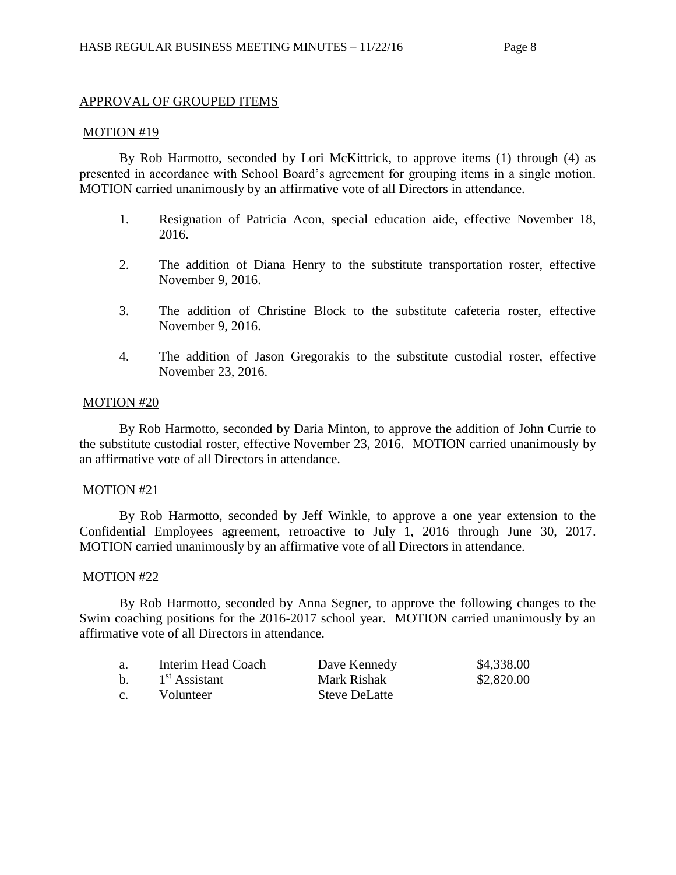## APPROVAL OF GROUPED ITEMS

### MOTION #19

By Rob Harmotto, seconded by Lori McKittrick, to approve items (1) through (4) as presented in accordance with School Board's agreement for grouping items in a single motion. MOTION carried unanimously by an affirmative vote of all Directors in attendance.

- 1. Resignation of Patricia Acon, special education aide, effective November 18, 2016.
- 2. The addition of Diana Henry to the substitute transportation roster, effective November 9, 2016.
- 3. The addition of Christine Block to the substitute cafeteria roster, effective November 9, 2016.
- 4. The addition of Jason Gregorakis to the substitute custodial roster, effective November 23, 2016.

### MOTION #20

By Rob Harmotto, seconded by Daria Minton, to approve the addition of John Currie to the substitute custodial roster, effective November 23, 2016. MOTION carried unanimously by an affirmative vote of all Directors in attendance.

## MOTION #21

By Rob Harmotto, seconded by Jeff Winkle, to approve a one year extension to the Confidential Employees agreement, retroactive to July 1, 2016 through June 30, 2017. MOTION carried unanimously by an affirmative vote of all Directors in attendance.

#### MOTION #22

By Rob Harmotto, seconded by Anna Segner, to approve the following changes to the Swim coaching positions for the 2016-2017 school year. MOTION carried unanimously by an affirmative vote of all Directors in attendance.

| a.             | Interim Head Coach        | Dave Kennedy         | \$4,338.00 |
|----------------|---------------------------|----------------------|------------|
| $\mathbf{b}$ . | 1 <sup>st</sup> Assistant | Mark Rishak          | \$2,820.00 |
| $c_{\cdot}$    | Volunteer                 | <b>Steve DeLatte</b> |            |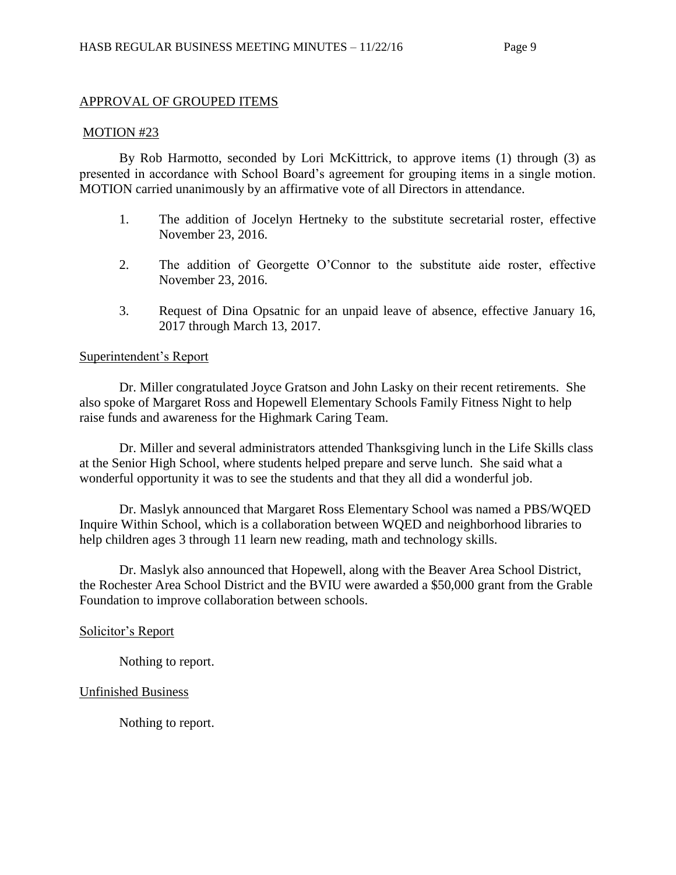## APPROVAL OF GROUPED ITEMS

#### MOTION #23

By Rob Harmotto, seconded by Lori McKittrick, to approve items (1) through (3) as presented in accordance with School Board's agreement for grouping items in a single motion. MOTION carried unanimously by an affirmative vote of all Directors in attendance.

- 1. The addition of Jocelyn Hertneky to the substitute secretarial roster, effective November 23, 2016.
- 2. The addition of Georgette O'Connor to the substitute aide roster, effective November 23, 2016.
- 3. Request of Dina Opsatnic for an unpaid leave of absence, effective January 16, 2017 through March 13, 2017.

#### Superintendent's Report

Dr. Miller congratulated Joyce Gratson and John Lasky on their recent retirements. She also spoke of Margaret Ross and Hopewell Elementary Schools Family Fitness Night to help raise funds and awareness for the Highmark Caring Team.

Dr. Miller and several administrators attended Thanksgiving lunch in the Life Skills class at the Senior High School, where students helped prepare and serve lunch. She said what a wonderful opportunity it was to see the students and that they all did a wonderful job.

Dr. Maslyk announced that Margaret Ross Elementary School was named a PBS/WQED Inquire Within School, which is a collaboration between WQED and neighborhood libraries to help children ages 3 through 11 learn new reading, math and technology skills.

Dr. Maslyk also announced that Hopewell, along with the Beaver Area School District, the Rochester Area School District and the BVIU were awarded a \$50,000 grant from the Grable Foundation to improve collaboration between schools.

#### Solicitor's Report

Nothing to report.

### Unfinished Business

Nothing to report.